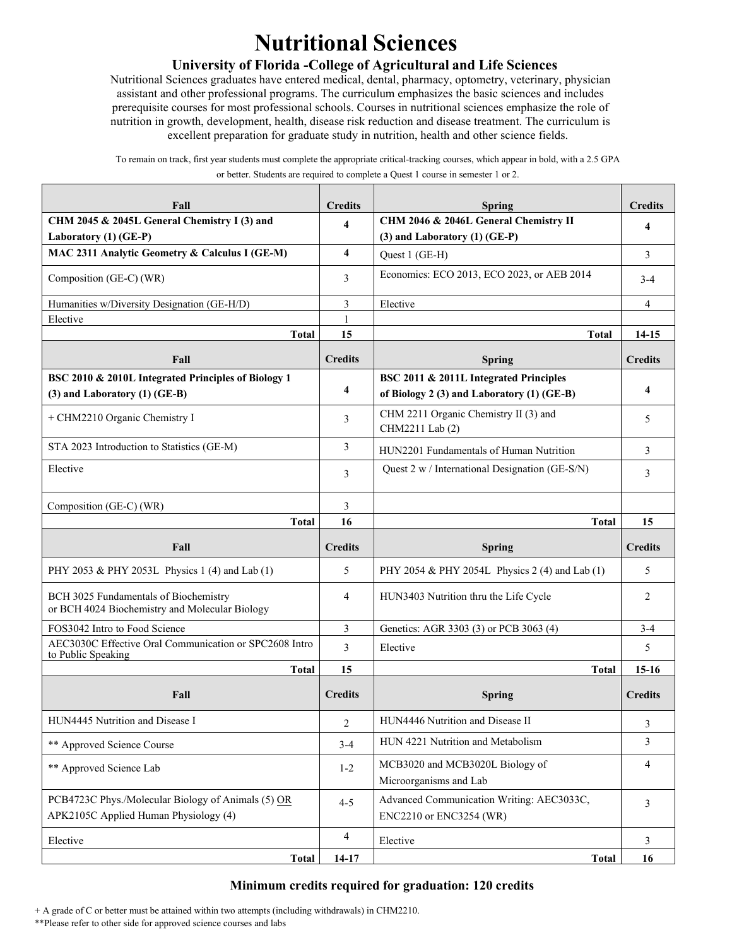# **Nutritional Sciences**

## **University of Florida -College of Agricultural and Life Sciences**

Nutritional Sciences graduates have entered medical, dental, pharmacy, optometry, veterinary, physician assistant and other professional programs. The curriculum emphasizes the basic sciences and includes prerequisite courses for most professional schools. Courses in nutritional sciences emphasize the role of nutrition in growth, development, health, disease risk reduction and disease treatment. The curriculum is excellent preparation for graduate study in nutrition, health and other science fields.

To remain on track, first year students must complete the appropriate critical-tracking courses, which appear in bold, with a 2.5 GPA or better. Students are required to complete a Quest 1 course in semester 1 or 2.

| Fall                                                                                        | <b>Credits</b> | <b>Spring</b>                                                                        | <b>Credits</b> |
|---------------------------------------------------------------------------------------------|----------------|--------------------------------------------------------------------------------------|----------------|
| CHM 2045 & 2045L General Chemistry I (3) and<br>Laboratory (1) (GE-P)                       | 4              | CHM 2046 & 2046L General Chemistry II<br>$(3)$ and Laboratory $(1)$ (GE-P)           | 4              |
| MAC 2311 Analytic Geometry & Calculus I (GE-M)                                              | 4              | Quest 1 (GE-H)                                                                       | 3              |
| Composition (GE-C) (WR)                                                                     | 3              | Economics: ECO 2013, ECO 2023, or AEB 2014                                           | $3-4$          |
| Humanities w/Diversity Designation (GE-H/D)                                                 | 3              | Elective                                                                             | $\overline{4}$ |
| Elective                                                                                    | $\mathbf{1}$   |                                                                                      |                |
| Total                                                                                       | 15             | <b>Total</b>                                                                         | 14-15          |
| Fall                                                                                        | <b>Credits</b> | <b>Spring</b>                                                                        | <b>Credits</b> |
| BSC 2010 & 2010L Integrated Principles of Biology 1<br>$(3)$ and Laboratory $(1)$ (GE-B)    | 4              | BSC 2011 & 2011L Integrated Principles<br>of Biology 2 (3) and Laboratory (1) (GE-B) | $\overline{4}$ |
| + CHM2210 Organic Chemistry I                                                               | 3              | CHM 2211 Organic Chemistry II (3) and<br>CHM2211 Lab (2)                             | 5              |
| STA 2023 Introduction to Statistics (GE-M)                                                  | 3              | HUN2201 Fundamentals of Human Nutrition                                              | 3              |
| Elective                                                                                    | 3              | Quest 2 w / International Designation (GE-S/N)                                       | 3              |
| Composition (GE-C) (WR)                                                                     | 3              |                                                                                      |                |
| <b>Total</b>                                                                                | 16             | <b>Total</b>                                                                         | 15             |
| Fall                                                                                        | <b>Credits</b> | <b>Spring</b>                                                                        | <b>Credits</b> |
| PHY 2053 & PHY 2053L Physics 1 (4) and Lab (1)                                              |                |                                                                                      |                |
|                                                                                             | 5              | PHY 2054 & PHY 2054L Physics 2 (4) and Lab (1)                                       | 5              |
| BCH 3025 Fundamentals of Biochemistry<br>or BCH 4024 Biochemistry and Molecular Biology     | 4              | HUN3403 Nutrition thru the Life Cycle                                                | $\overline{2}$ |
| FOS3042 Intro to Food Science                                                               | 3              | Genetics: AGR 3303 (3) or PCB 3063 (4)                                               | $3 - 4$        |
| AEC3030C Effective Oral Communication or SPC2608 Intro                                      | 3              | Elective                                                                             | 5              |
| to Public Speaking<br><b>Total</b>                                                          | 15             | <b>Total</b>                                                                         | $15-16$        |
| Fall                                                                                        | <b>Credits</b> | <b>Spring</b>                                                                        | <b>Credits</b> |
| HUN4445 Nutrition and Disease I                                                             | 2              | HUN4446 Nutrition and Disease II                                                     | 3              |
| ** Approved Science Course                                                                  | $3 - 4$        | HUN 4221 Nutrition and Metabolism                                                    | 3              |
| ** Approved Science Lab                                                                     | $1 - 2$        | MCB3020 and MCB3020L Biology of<br>Microorganisms and Lab                            | 4              |
| PCB4723C Phys./Molecular Biology of Animals (5) OR<br>APK2105C Applied Human Physiology (4) | $4 - 5$        | Advanced Communication Writing: AEC3033C,<br>ENC2210 or ENC3254 (WR)                 | $\overline{3}$ |
| Elective                                                                                    | 4              | Elective                                                                             | 3              |

## **Minimum credits required for graduation: 120 credits**

+ A grade of C or better must be attained within two attempts (including withdrawals) in CHM2210.

\*\*Please refer to other side for approved science courses and labs